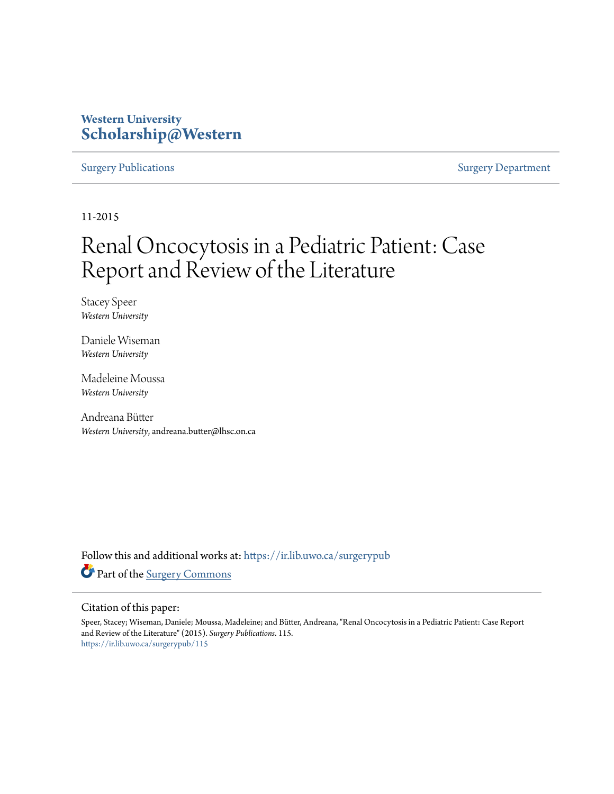## **Western University [Scholarship@Western](https://ir.lib.uwo.ca?utm_source=ir.lib.uwo.ca%2Fsurgerypub%2F115&utm_medium=PDF&utm_campaign=PDFCoverPages)**

### [Surgery Publications](https://ir.lib.uwo.ca/surgerypub?utm_source=ir.lib.uwo.ca%2Fsurgerypub%2F115&utm_medium=PDF&utm_campaign=PDFCoverPages) [Surgery Department](https://ir.lib.uwo.ca/surgery?utm_source=ir.lib.uwo.ca%2Fsurgerypub%2F115&utm_medium=PDF&utm_campaign=PDFCoverPages)

11-2015

# Renal Oncocytosis in a Pediatric Patient: Case Report and Review of the Literature

Stacey Speer *Western University*

Daniele Wiseman *Western University*

Madeleine Moussa *Western University*

Andreana Bütter *Western University*, andreana.butter@lhsc.on.ca

Follow this and additional works at: [https://ir.lib.uwo.ca/surgerypub](https://ir.lib.uwo.ca/surgerypub?utm_source=ir.lib.uwo.ca%2Fsurgerypub%2F115&utm_medium=PDF&utm_campaign=PDFCoverPages) Part of the [Surgery Commons](http://network.bepress.com/hgg/discipline/706?utm_source=ir.lib.uwo.ca%2Fsurgerypub%2F115&utm_medium=PDF&utm_campaign=PDFCoverPages)

### Citation of this paper:

Speer, Stacey; Wiseman, Daniele; Moussa, Madeleine; and Bütter, Andreana, "Renal Oncocytosis in a Pediatric Patient: Case Report and Review of the Literature" (2015). *Surgery Publications*. 115. [https://ir.lib.uwo.ca/surgerypub/115](https://ir.lib.uwo.ca/surgerypub/115?utm_source=ir.lib.uwo.ca%2Fsurgerypub%2F115&utm_medium=PDF&utm_campaign=PDFCoverPages)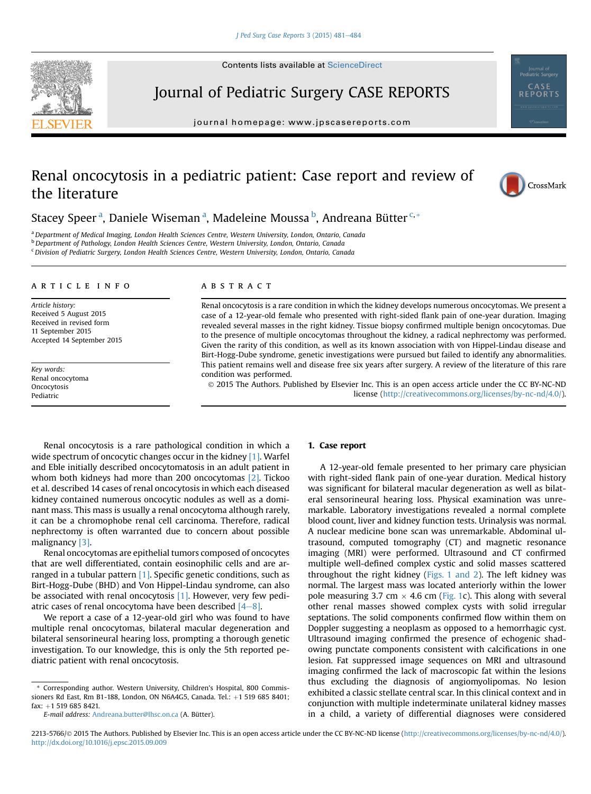

**Contents lists available at ScienceDirect** 

# Journal of Pediatric Surgery CASE REPORTS

journal homepage: [www.jpscasereports.com](http://www.jpscasereports.com)

### Renal oncocytosis in a pediatric patient: Case report and review of the literature



Stacey Speer<sup>a</sup>, Daniele Wiseman<sup>a</sup>, Madeleine Moussa<sup>b</sup>, Andreana Bütter<sup>c,\*</sup>

a Department of Medical Imaging, London Health Sciences Centre, Western University, London, Ontario, Canada

<sup>b</sup> Department of Pathology, London Health Sciences Centre, Western University, London, Ontario, Canada

<sup>c</sup> Division of Pediatric Surgery, London Health Sciences Centre, Western University, London, Ontario, Canada

#### article info

Article history: Received 5 August 2015 Received in revised form 11 September 2015 Accepted 14 September 2015

Key words: Renal oncocytoma **Oncocytosis** Pediatric

#### **ABSTRACT**

Renal oncocytosis is a rare condition in which the kidney develops numerous oncocytomas. We present a case of a 12-year-old female who presented with right-sided flank pain of one-year duration. Imaging revealed several masses in the right kidney. Tissue biopsy confirmed multiple benign oncocytomas. Due to the presence of multiple oncocytomas throughout the kidney, a radical nephrectomy was performed. Given the rarity of this condition, as well as its known association with von Hippel-Lindau disease and Birt-Hogg-Dube syndrome, genetic investigations were pursued but failed to identify any abnormalities. This patient remains well and disease free six years after surgery. A review of the literature of this rare condition was performed.

 2015 The Authors. Published by Elsevier Inc. This is an open access article under the CC BY-NC-ND license ([http://creativecommons.org/licenses/by-nc-nd/4.0/\)](http://creativecommons.org/licenses/by-nc-nd/4.�0/).

Renal oncocytosis is a rare pathological condition in which a wide spectrum of oncocytic changes occur in the kidney [\[1\]](#page-4-0). Warfel and Eble initially described oncocytomatosis in an adult patient in whom both kidneys had more than 200 oncocytomas [\[2\].](#page-4-0) Tickoo et al. described 14 cases of renal oncocytosis in which each diseased kidney contained numerous oncocytic nodules as well as a dominant mass. This mass is usually a renal oncocytoma although rarely, it can be a chromophobe renal cell carcinoma. Therefore, radical nephrectomy is often warranted due to concern about possible malignancy [\[3\]](#page-4-0).

Renal oncocytomas are epithelial tumors composed of oncocytes that are well differentiated, contain eosinophilic cells and are arranged in a tubular pattern  $[1]$ . Specific genetic conditions, such as Birt-Hogg-Dube (BHD) and Von Hippel-Lindau syndrome, can also be associated with renal oncocytosis [\[1\]](#page-4-0). However, very few pediatric cases of renal oncocytoma have been described  $[4-8]$  $[4-8]$ .

We report a case of a 12-year-old girl who was found to have multiple renal oncocytomas, bilateral macular degeneration and bilateral sensorineural hearing loss, prompting a thorough genetic investigation. To our knowledge, this is only the 5th reported pediatric patient with renal oncocytosis.

### 1. Case report

A 12-year-old female presented to her primary care physician with right-sided flank pain of one-year duration. Medical history was significant for bilateral macular degeneration as well as bilateral sensorineural hearing loss. Physical examination was unremarkable. Laboratory investigations revealed a normal complete blood count, liver and kidney function tests. Urinalysis was normal. A nuclear medicine bone scan was unremarkable. Abdominal ultrasound, computed tomography (CT) and magnetic resonance imaging (MRI) were performed. Ultrasound and CT confirmed multiple well-defined complex cystic and solid masses scattered throughout the right kidney [\(Figs. 1 and 2](#page-2-0)). The left kidney was normal. The largest mass was located anteriorly within the lower pole measuring 3.7 cm  $\times$  4.6 cm [\(Fig. 1](#page-2-0)c). This along with several other renal masses showed complex cysts with solid irregular septations. The solid components confirmed flow within them on Doppler suggesting a neoplasm as opposed to a hemorrhagic cyst. Ultrasound imaging confirmed the presence of echogenic shadowing punctate components consistent with calcifications in one lesion. Fat suppressed image sequences on MRI and ultrasound imaging confirmed the lack of macroscopic fat within the lesions thus excluding the diagnosis of angiomyolipomas. No lesion exhibited a classic stellate central scar. In this clinical context and in conjunction with multiple indeterminate unilateral kidney masses in a child, a variety of differential diagnoses were considered

<sup>\*</sup> Corresponding author. Western University, Children's Hospital, 800 Commissioners Rd East, Rm B1-188, London, ON N6A4G5, Canada. Tel.: +1 519 685 8401; fax: +1 519 685 8421.

E-mail address: [Andreana.butter@lhsc.on.ca](mailto:Andreana.butter@lhsc.on.ca) (A. Bütter).

<sup>2213-5766/© 2015</sup> The Authors. Published by Elsevier Inc. This is an open access article under the CC BY-NC-ND license ([http://creativecommons.org/licenses/by-nc-nd/4.0/](http://creativecommons.org/licenses/by-nc-nd/4.�0/)). <http://dx.doi.org/10.1016/j.epsc.2015.09.009>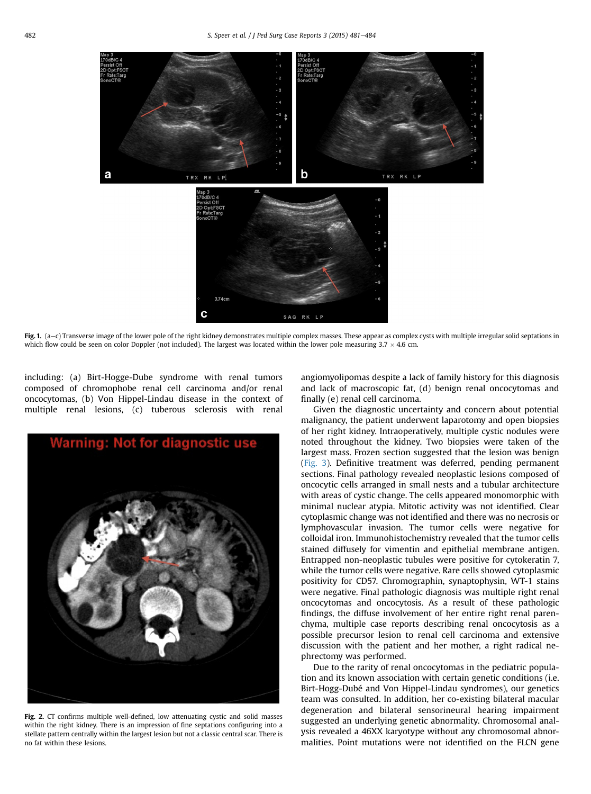<span id="page-2-0"></span>

Fig. 1. (a-c) Transverse image of the lower pole of the right kidney demonstrates multiple complex masses. These appear as complex cysts with multiple irregular solid septations in which flow could be seen on color Doppler (not included). The largest was located within the lower pole measuring  $3.7 \times 4.6$  cm.

including: (a) Birt-Hogge-Dube syndrome with renal tumors composed of chromophobe renal cell carcinoma and/or renal oncocytomas, (b) Von Hippel-Lindau disease in the context of multiple renal lesions, (c) tuberous sclerosis with renal



Fig. 2. CT confirms multiple well-defined, low attenuating cystic and solid masses within the right kidney. There is an impression of fine septations configuring into a stellate pattern centrally within the largest lesion but not a classic central scar. There is no fat within these lesions.

angiomyolipomas despite a lack of family history for this diagnosis and lack of macroscopic fat, (d) benign renal oncocytomas and finally (e) renal cell carcinoma.

Given the diagnostic uncertainty and concern about potential malignancy, the patient underwent laparotomy and open biopsies of her right kidney. Intraoperatively, multiple cystic nodules were noted throughout the kidney. Two biopsies were taken of the largest mass. Frozen section suggested that the lesion was benign ([Fig. 3\)](#page-3-0). Definitive treatment was deferred, pending permanent sections. Final pathology revealed neoplastic lesions composed of oncocytic cells arranged in small nests and a tubular architecture with areas of cystic change. The cells appeared monomorphic with minimal nuclear atypia. Mitotic activity was not identified. Clear cytoplasmic change was not identified and there was no necrosis or lymphovascular invasion. The tumor cells were negative for colloidal iron. Immunohistochemistry revealed that the tumor cells stained diffusely for vimentin and epithelial membrane antigen. Entrapped non-neoplastic tubules were positive for cytokeratin 7, while the tumor cells were negative. Rare cells showed cytoplasmic positivity for CD57. Chromographin, synaptophysin, WT-1 stains were negative. Final pathologic diagnosis was multiple right renal oncocytomas and oncocytosis. As a result of these pathologic findings, the diffuse involvement of her entire right renal parenchyma, multiple case reports describing renal oncocytosis as a possible precursor lesion to renal cell carcinoma and extensive discussion with the patient and her mother, a right radical nephrectomy was performed.

Due to the rarity of renal oncocytomas in the pediatric population and its known association with certain genetic conditions (i.e. Birt-Hogg-Dubé and Von Hippel-Lindau syndromes), our genetics team was consulted. In addition, her co-existing bilateral macular degeneration and bilateral sensorineural hearing impairment suggested an underlying genetic abnormality. Chromosomal analysis revealed a 46XX karyotype without any chromosomal abnormalities. Point mutations were not identified on the FLCN gene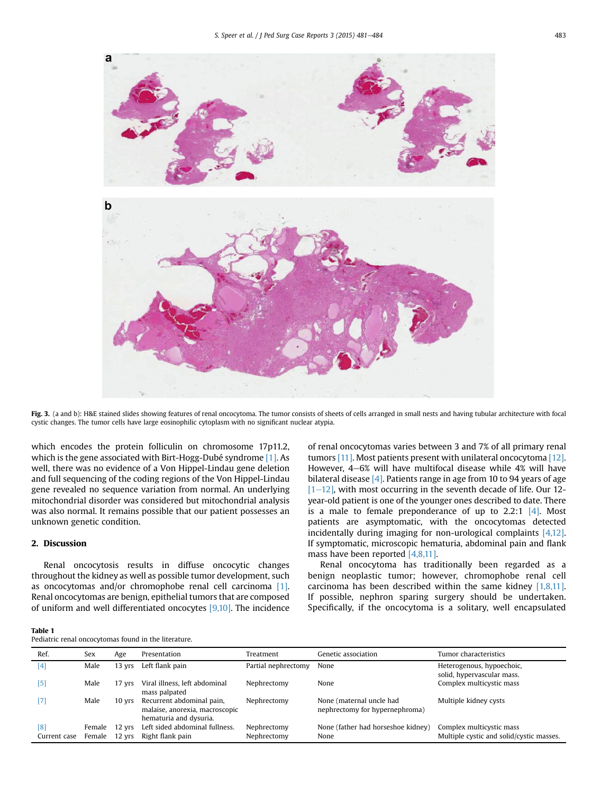<span id="page-3-0"></span>

Fig. 3. (a and b): H&E stained slides showing features of renal oncocytoma. The tumor consists of sheets of cells arranged in small nests and having tubular architecture with focal cystic changes. The tumor cells have large eosinophilic cytoplasm with no significant nuclear atypia.

which encodes the protein folliculin on chromosome 17p11.2, which is the gene associated with Birt-Hogg-Dubé syndrome [\[1\].](#page-4-0) As well, there was no evidence of a Von Hippel-Lindau gene deletion and full sequencing of the coding regions of the Von Hippel-Lindau gene revealed no sequence variation from normal. An underlying mitochondrial disorder was considered but mitochondrial analysis was also normal. It remains possible that our patient possesses an unknown genetic condition.

#### 2. Discussion

Renal oncocytosis results in diffuse oncocytic changes throughout the kidney as well as possible tumor development, such as oncocytomas and/or chromophobe renal cell carcinoma [\[1\].](#page-4-0) Renal oncocytomas are benign, epithelial tumors that are composed of uniform and well differentiated oncocytes [\[9,10\]](#page-4-0). The incidence of renal oncocytomas varies between 3 and 7% of all primary renal tumors [\[11\].](#page-4-0) Most patients present with unilateral oncocytoma [\[12\]](#page-4-0). However,  $4-6%$  will have multifocal disease while  $4%$  will have bilateral disease  $[4]$ . Patients range in age from 10 to 94 years of age  $[1–12]$  $[1–12]$  $[1–12]$ , with most occurring in the seventh decade of life. Our 12year-old patient is one of the younger ones described to date. There is a male to female preponderance of up to  $2.2:1$  [\[4\].](#page-4-0) Most patients are asymptomatic, with the oncocytomas detected incidentally during imaging for non-urological complaints [\[4,12\]](#page-4-0). If symptomatic, microscopic hematuria, abdominal pain and flank mass have been reported [\[4,8,11\]](#page-4-0).

Renal oncocytoma has traditionally been regarded as a benign neoplastic tumor; however, chromophobe renal cell carcinoma has been described within the same kidney  $[1,8,11]$ . If possible, nephron sparing surgery should be undertaken. Specifically, if the oncocytoma is a solitary, well encapsulated

| Table 1                                              |  |  |  |
|------------------------------------------------------|--|--|--|
| Pediatric renal oncocytomas found in the literature. |  |  |  |

| Ref.                | Sex                            | Age      | Presentation                                                                          | Treatment                  | Genetic association                                        | Tumor characteristics                                                |
|---------------------|--------------------------------|----------|---------------------------------------------------------------------------------------|----------------------------|------------------------------------------------------------|----------------------------------------------------------------------|
| [4]                 | Male                           | 13 vrs   | Left flank pain                                                                       | Partial nephrectomy        | None                                                       | Heterogenous, hypoechoic,<br>solid, hypervascular mass.              |
| $[5]$               | Male                           | 17 yrs   | Viral illness, left abdominal<br>mass palpated                                        | Nephrectomy                | None                                                       | Complex multicystic mass                                             |
| $[7]$               | Male                           | $10$ yrs | Recurrent abdominal pain,<br>malaise, anorexia, macroscopic<br>hematuria and dysuria. | Nephrectomy                | None (maternal uncle had<br>nephrectomy for hypernephroma) | Multiple kidney cysts                                                |
| [8]<br>Current case | Female 12 yrs<br>Female 12 yrs |          | Left sided abdominal fullness.<br>Right flank pain                                    | Nephrectomy<br>Nephrectomy | None (father had horseshoe kidney)<br>None                 | Complex multicystic mass<br>Multiple cystic and solid/cystic masses. |